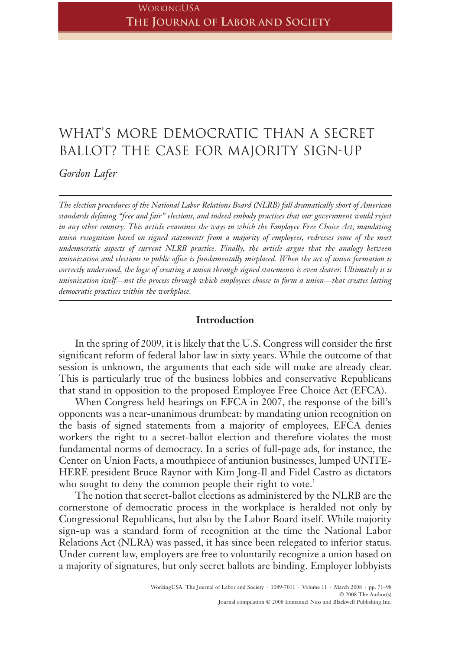## WORKINGUSA **The Journal of Labor and Society**

# WHAT'S MORE DEMOCRATIC THAN A SECRET BALLOT? THE CASE FOR MAJORITY SIGN-UP

*Gordon Lafer*

*The election procedures of the National Labor Relations Board (NLRB) fall dramatically short of American standards defining "free and fair" elections, and indeed embody practices that our government would reject in any other country. This article examines the ways in which the Employee Free Choice Act, mandating union recognition based on signed statements from a majority of employees, redresses some of the most undemocratic aspects of current NLRB practice. Finally, the article argue that the analogy between unionization and elections to public office is fundamentally misplaced. When the act of union formation is correctly understood, the logic of creating a union through signed statements is even clearer. Ultimately it is unionization itself—not the process through which employees choose to form a union—that creates lasting democratic practices within the workplace.*

## **Introduction**

In the spring of 2009, it is likely that the U.S. Congress will consider the first significant reform of federal labor law in sixty years. While the outcome of that session is unknown, the arguments that each side will make are already clear. This is particularly true of the business lobbies and conservative Republicans that stand in opposition to the proposed Employee Free Choice Act (EFCA).

When Congress held hearings on EFCA in 2007, the response of the bill's opponents was a near-unanimous drumbeat: by mandating union recognition on the basis of signed statements from a majority of employees, EFCA denies workers the right to a secret-ballot election and therefore violates the most fundamental norms of democracy. In a series of full-page ads, for instance, the Center on Union Facts, a mouthpiece of antiunion businesses, lumped UNITE-HERE president Bruce Raynor with Kim Jong-Il and Fidel Castro as dictators who sought to deny the common people their right to vote.<sup>1</sup>

The notion that secret-ballot elections as administered by the NLRB are the cornerstone of democratic process in the workplace is heralded not only by Congressional Republicans, but also by the Labor Board itself. While majority sign-up was a standard form of recognition at the time the National Labor Relations Act (NLRA) was passed, it has since been relegated to inferior status. Under current law, employers are free to voluntarily recognize a union based on a majority of signatures, but only secret ballots are binding. Employer lobbyists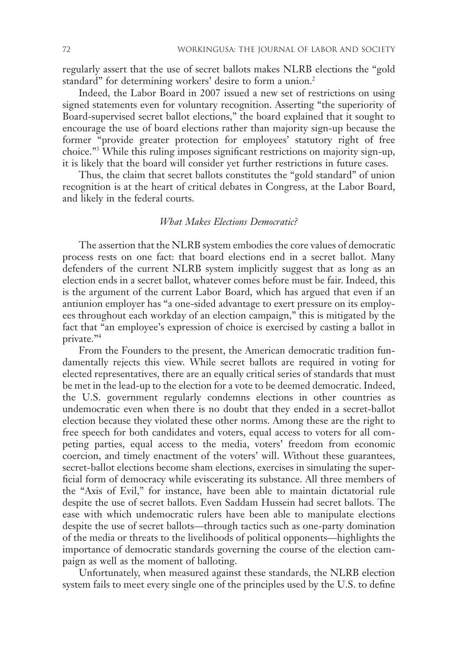regularly assert that the use of secret ballots makes NLRB elections the "gold standard" for determining workers' desire to form a union.<sup>2</sup>

Indeed, the Labor Board in 2007 issued a new set of restrictions on using signed statements even for voluntary recognition. Asserting "the superiority of Board-supervised secret ballot elections," the board explained that it sought to encourage the use of board elections rather than majority sign-up because the former "provide greater protection for employees' statutory right of free choice."3 While this ruling imposes significant restrictions on majority sign-up, it is likely that the board will consider yet further restrictions in future cases.

Thus, the claim that secret ballots constitutes the "gold standard" of union recognition is at the heart of critical debates in Congress, at the Labor Board, and likely in the federal courts.

## *What Makes Elections Democratic?*

The assertion that the NLRB system embodies the core values of democratic process rests on one fact: that board elections end in a secret ballot. Many defenders of the current NLRB system implicitly suggest that as long as an election ends in a secret ballot, whatever comes before must be fair. Indeed, this is the argument of the current Labor Board, which has argued that even if an antiunion employer has "a one-sided advantage to exert pressure on its employees throughout each workday of an election campaign," this is mitigated by the fact that "an employee's expression of choice is exercised by casting a ballot in private."4

From the Founders to the present, the American democratic tradition fundamentally rejects this view. While secret ballots are required in voting for elected representatives, there are an equally critical series of standards that must be met in the lead-up to the election for a vote to be deemed democratic. Indeed, the U.S. government regularly condemns elections in other countries as undemocratic even when there is no doubt that they ended in a secret-ballot election because they violated these other norms. Among these are the right to free speech for both candidates and voters, equal access to voters for all competing parties, equal access to the media, voters' freedom from economic coercion, and timely enactment of the voters' will. Without these guarantees, secret-ballot elections become sham elections, exercises in simulating the superficial form of democracy while eviscerating its substance. All three members of the "Axis of Evil," for instance, have been able to maintain dictatorial rule despite the use of secret ballots. Even Saddam Hussein had secret ballots. The ease with which undemocratic rulers have been able to manipulate elections despite the use of secret ballots—through tactics such as one-party domination of the media or threats to the livelihoods of political opponents—highlights the importance of democratic standards governing the course of the election campaign as well as the moment of balloting.

Unfortunately, when measured against these standards, the NLRB election system fails to meet every single one of the principles used by the U.S. to define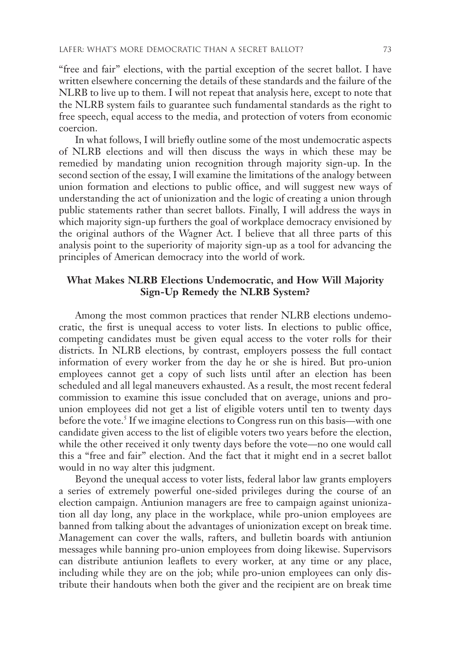"free and fair" elections, with the partial exception of the secret ballot. I have written elsewhere concerning the details of these standards and the failure of the NLRB to live up to them. I will not repeat that analysis here, except to note that the NLRB system fails to guarantee such fundamental standards as the right to free speech, equal access to the media, and protection of voters from economic coercion.

In what follows, I will briefly outline some of the most undemocratic aspects of NLRB elections and will then discuss the ways in which these may be remedied by mandating union recognition through majority sign-up. In the second section of the essay, I will examine the limitations of the analogy between union formation and elections to public office, and will suggest new ways of understanding the act of unionization and the logic of creating a union through public statements rather than secret ballots. Finally, I will address the ways in which majority sign-up furthers the goal of workplace democracy envisioned by the original authors of the Wagner Act. I believe that all three parts of this analysis point to the superiority of majority sign-up as a tool for advancing the principles of American democracy into the world of work.

## **What Makes NLRB Elections Undemocratic, and How Will Majority Sign-Up Remedy the NLRB System?**

Among the most common practices that render NLRB elections undemocratic, the first is unequal access to voter lists. In elections to public office, competing candidates must be given equal access to the voter rolls for their districts. In NLRB elections, by contrast, employers possess the full contact information of every worker from the day he or she is hired. But pro-union employees cannot get a copy of such lists until after an election has been scheduled and all legal maneuvers exhausted. As a result, the most recent federal commission to examine this issue concluded that on average, unions and prounion employees did not get a list of eligible voters until ten to twenty days before the vote.<sup>5</sup> If we imagine elections to Congress run on this basis—with one candidate given access to the list of eligible voters two years before the election, while the other received it only twenty days before the vote—no one would call this a "free and fair" election. And the fact that it might end in a secret ballot would in no way alter this judgment.

Beyond the unequal access to voter lists, federal labor law grants employers a series of extremely powerful one-sided privileges during the course of an election campaign. Antiunion managers are free to campaign against unionization all day long, any place in the workplace, while pro-union employees are banned from talking about the advantages of unionization except on break time. Management can cover the walls, rafters, and bulletin boards with antiunion messages while banning pro-union employees from doing likewise. Supervisors can distribute antiunion leaflets to every worker, at any time or any place, including while they are on the job; while pro-union employees can only distribute their handouts when both the giver and the recipient are on break time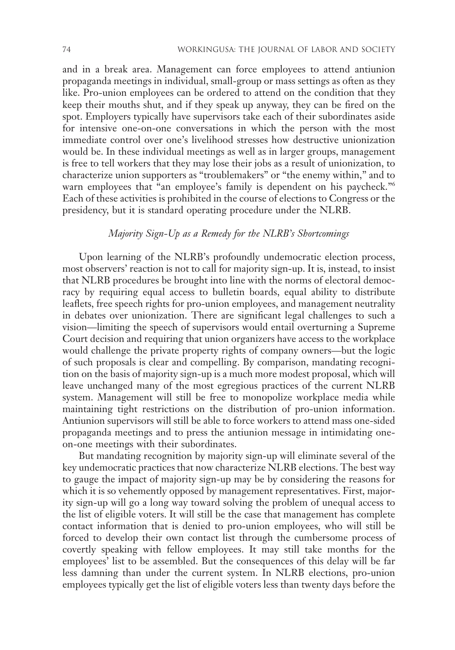and in a break area. Management can force employees to attend antiunion propaganda meetings in individual, small-group or mass settings as often as they like. Pro-union employees can be ordered to attend on the condition that they keep their mouths shut, and if they speak up anyway, they can be fired on the spot. Employers typically have supervisors take each of their subordinates aside for intensive one-on-one conversations in which the person with the most immediate control over one's livelihood stresses how destructive unionization would be. In these individual meetings as well as in larger groups, management is free to tell workers that they may lose their jobs as a result of unionization, to characterize union supporters as "troublemakers" or "the enemy within," and to warn employees that "an employee's family is dependent on his paycheck."<sup>6</sup> Each of these activities is prohibited in the course of elections to Congress or the presidency, but it is standard operating procedure under the NLRB.

#### *Majority Sign-Up as a Remedy for the NLRB's Shortcomings*

Upon learning of the NLRB's profoundly undemocratic election process, most observers' reaction is not to call for majority sign-up. It is, instead, to insist that NLRB procedures be brought into line with the norms of electoral democracy by requiring equal access to bulletin boards, equal ability to distribute leaflets, free speech rights for pro-union employees, and management neutrality in debates over unionization. There are significant legal challenges to such a vision—limiting the speech of supervisors would entail overturning a Supreme Court decision and requiring that union organizers have access to the workplace would challenge the private property rights of company owners—but the logic of such proposals is clear and compelling. By comparison, mandating recognition on the basis of majority sign-up is a much more modest proposal, which will leave unchanged many of the most egregious practices of the current NLRB system. Management will still be free to monopolize workplace media while maintaining tight restrictions on the distribution of pro-union information. Antiunion supervisors will still be able to force workers to attend mass one-sided propaganda meetings and to press the antiunion message in intimidating oneon-one meetings with their subordinates.

But mandating recognition by majority sign-up will eliminate several of the key undemocratic practices that now characterize NLRB elections. The best way to gauge the impact of majority sign-up may be by considering the reasons for which it is so vehemently opposed by management representatives. First, majority sign-up will go a long way toward solving the problem of unequal access to the list of eligible voters. It will still be the case that management has complete contact information that is denied to pro-union employees, who will still be forced to develop their own contact list through the cumbersome process of covertly speaking with fellow employees. It may still take months for the employees' list to be assembled. But the consequences of this delay will be far less damning than under the current system. In NLRB elections, pro-union employees typically get the list of eligible voters less than twenty days before the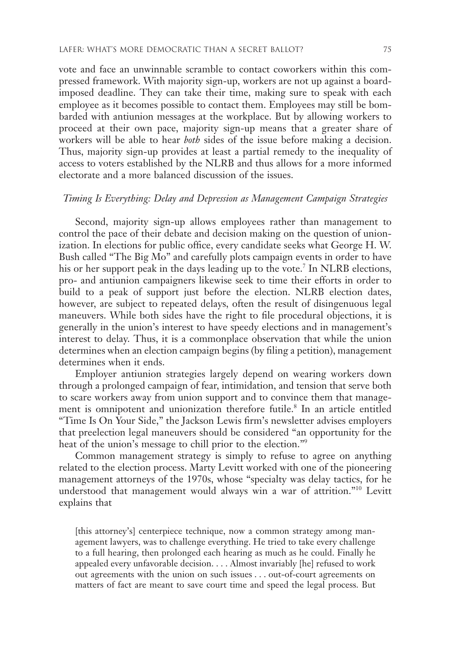vote and face an unwinnable scramble to contact coworkers within this compressed framework. With majority sign-up, workers are not up against a boardimposed deadline. They can take their time, making sure to speak with each employee as it becomes possible to contact them. Employees may still be bombarded with antiunion messages at the workplace. But by allowing workers to proceed at their own pace, majority sign-up means that a greater share of workers will be able to hear *both* sides of the issue before making a decision. Thus, majority sign-up provides at least a partial remedy to the inequality of access to voters established by the NLRB and thus allows for a more informed electorate and a more balanced discussion of the issues.

#### *Timing Is Everything: Delay and Depression as Management Campaign Strategies*

Second, majority sign-up allows employees rather than management to control the pace of their debate and decision making on the question of unionization. In elections for public office, every candidate seeks what George H. W. Bush called "The Big Mo" and carefully plots campaign events in order to have his or her support peak in the days leading up to the vote.<sup>7</sup> In NLRB elections, pro- and antiunion campaigners likewise seek to time their efforts in order to build to a peak of support just before the election. NLRB election dates, however, are subject to repeated delays, often the result of disingenuous legal maneuvers. While both sides have the right to file procedural objections, it is generally in the union's interest to have speedy elections and in management's interest to delay. Thus, it is a commonplace observation that while the union determines when an election campaign begins (by filing a petition), management determines when it ends.

Employer antiunion strategies largely depend on wearing workers down through a prolonged campaign of fear, intimidation, and tension that serve both to scare workers away from union support and to convince them that management is omnipotent and unionization therefore futile.<sup>8</sup> In an article entitled "Time Is On Your Side," the Jackson Lewis firm's newsletter advises employers that preelection legal maneuvers should be considered "an opportunity for the heat of the union's message to chill prior to the election."<sup>9</sup>

Common management strategy is simply to refuse to agree on anything related to the election process. Marty Levitt worked with one of the pioneering management attorneys of the 1970s, whose "specialty was delay tactics, for he understood that management would always win a war of attrition."10 Levitt explains that

[this attorney's] centerpiece technique, now a common strategy among management lawyers, was to challenge everything. He tried to take every challenge to a full hearing, then prolonged each hearing as much as he could. Finally he appealed every unfavorable decision.... Almost invariably [he] refused to work out agreements with the union on such issues... out-of-court agreements on matters of fact are meant to save court time and speed the legal process. But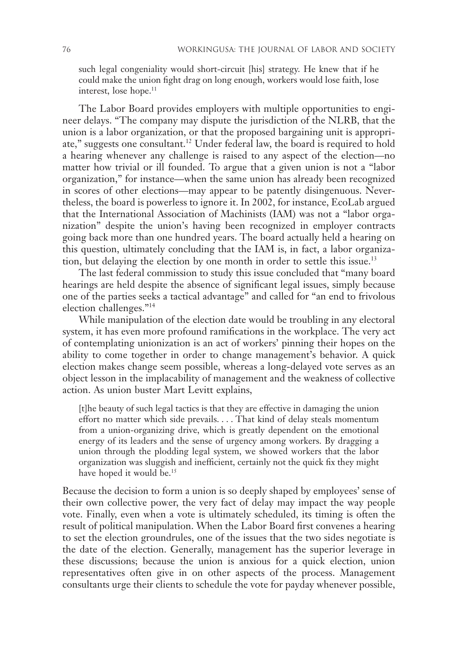such legal congeniality would short-circuit [his] strategy. He knew that if he could make the union fight drag on long enough, workers would lose faith, lose interest, lose hope.<sup>11</sup>

The Labor Board provides employers with multiple opportunities to engineer delays. "The company may dispute the jurisdiction of the NLRB, that the union is a labor organization, or that the proposed bargaining unit is appropriate," suggests one consultant.<sup>12</sup> Under federal law, the board is required to hold a hearing whenever any challenge is raised to any aspect of the election—no matter how trivial or ill founded. To argue that a given union is not a "labor organization," for instance—when the same union has already been recognized in scores of other elections—may appear to be patently disingenuous. Nevertheless, the board is powerless to ignore it. In 2002, for instance, EcoLab argued that the International Association of Machinists (IAM) was not a "labor organization" despite the union's having been recognized in employer contracts going back more than one hundred years. The board actually held a hearing on this question, ultimately concluding that the IAM is, in fact, a labor organization, but delaying the election by one month in order to settle this issue.<sup>13</sup>

The last federal commission to study this issue concluded that "many board hearings are held despite the absence of significant legal issues, simply because one of the parties seeks a tactical advantage" and called for "an end to frivolous election challenges."14

While manipulation of the election date would be troubling in any electoral system, it has even more profound ramifications in the workplace. The very act of contemplating unionization is an act of workers' pinning their hopes on the ability to come together in order to change management's behavior. A quick election makes change seem possible, whereas a long-delayed vote serves as an object lesson in the implacability of management and the weakness of collective action. As union buster Mart Levitt explains,

[t]he beauty of such legal tactics is that they are effective in damaging the union effort no matter which side prevails.... That kind of delay steals momentum from a union-organizing drive, which is greatly dependent on the emotional energy of its leaders and the sense of urgency among workers. By dragging a union through the plodding legal system, we showed workers that the labor organization was sluggish and inefficient, certainly not the quick fix they might have hoped it would be.<sup>15</sup>

Because the decision to form a union is so deeply shaped by employees' sense of their own collective power, the very fact of delay may impact the way people vote. Finally, even when a vote is ultimately scheduled, its timing is often the result of political manipulation. When the Labor Board first convenes a hearing to set the election groundrules, one of the issues that the two sides negotiate is the date of the election. Generally, management has the superior leverage in these discussions; because the union is anxious for a quick election, union representatives often give in on other aspects of the process. Management consultants urge their clients to schedule the vote for payday whenever possible,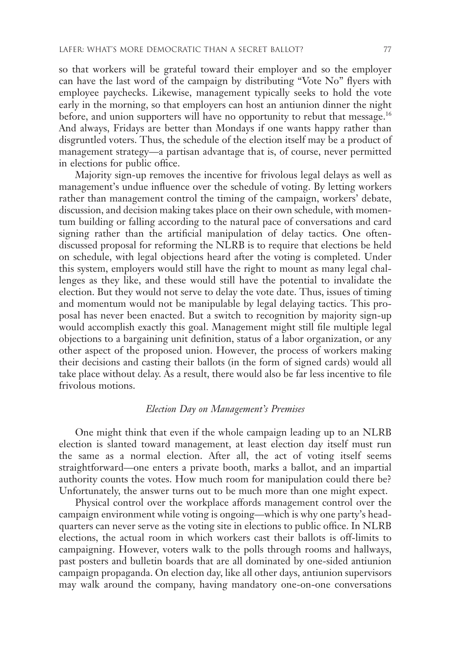so that workers will be grateful toward their employer and so the employer can have the last word of the campaign by distributing "Vote No" flyers with employee paychecks. Likewise, management typically seeks to hold the vote early in the morning, so that employers can host an antiunion dinner the night before, and union supporters will have no opportunity to rebut that message.<sup>16</sup> And always, Fridays are better than Mondays if one wants happy rather than disgruntled voters. Thus, the schedule of the election itself may be a product of management strategy—a partisan advantage that is, of course, never permitted in elections for public office.

Majority sign-up removes the incentive for frivolous legal delays as well as management's undue influence over the schedule of voting. By letting workers rather than management control the timing of the campaign, workers' debate, discussion, and decision making takes place on their own schedule, with momentum building or falling according to the natural pace of conversations and card signing rather than the artificial manipulation of delay tactics. One oftendiscussed proposal for reforming the NLRB is to require that elections be held on schedule, with legal objections heard after the voting is completed. Under this system, employers would still have the right to mount as many legal challenges as they like, and these would still have the potential to invalidate the election. But they would not serve to delay the vote date. Thus, issues of timing and momentum would not be manipulable by legal delaying tactics. This proposal has never been enacted. But a switch to recognition by majority sign-up would accomplish exactly this goal. Management might still file multiple legal objections to a bargaining unit definition, status of a labor organization, or any other aspect of the proposed union. However, the process of workers making their decisions and casting their ballots (in the form of signed cards) would all take place without delay. As a result, there would also be far less incentive to file frivolous motions.

#### *Election Day on Management's Premises*

One might think that even if the whole campaign leading up to an NLRB election is slanted toward management, at least election day itself must run the same as a normal election. After all, the act of voting itself seems straightforward—one enters a private booth, marks a ballot, and an impartial authority counts the votes. How much room for manipulation could there be? Unfortunately, the answer turns out to be much more than one might expect.

Physical control over the workplace affords management control over the campaign environment while voting is ongoing—which is why one party's headquarters can never serve as the voting site in elections to public office. In NLRB elections, the actual room in which workers cast their ballots is off-limits to campaigning. However, voters walk to the polls through rooms and hallways, past posters and bulletin boards that are all dominated by one-sided antiunion campaign propaganda. On election day, like all other days, antiunion supervisors may walk around the company, having mandatory one-on-one conversations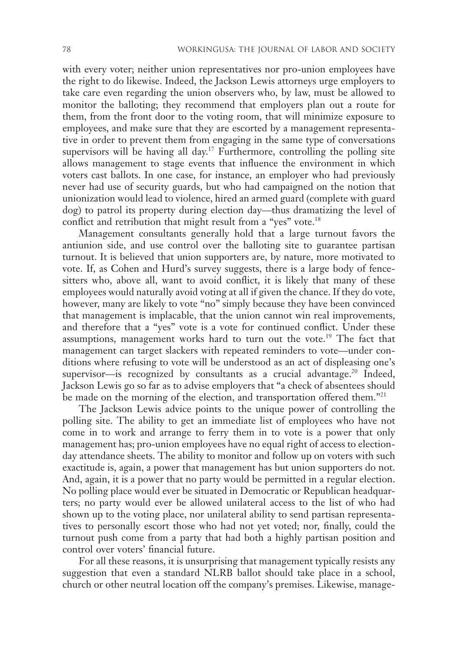with every voter; neither union representatives nor pro-union employees have the right to do likewise. Indeed, the Jackson Lewis attorneys urge employers to take care even regarding the union observers who, by law, must be allowed to monitor the balloting; they recommend that employers plan out a route for them, from the front door to the voting room, that will minimize exposure to employees, and make sure that they are escorted by a management representative in order to prevent them from engaging in the same type of conversations supervisors will be having all day.<sup>17</sup> Furthermore, controlling the polling site allows management to stage events that influence the environment in which voters cast ballots. In one case, for instance, an employer who had previously never had use of security guards, but who had campaigned on the notion that unionization would lead to violence, hired an armed guard (complete with guard dog) to patrol its property during election day—thus dramatizing the level of conflict and retribution that might result from a "yes" vote.<sup>18</sup>

Management consultants generally hold that a large turnout favors the antiunion side, and use control over the balloting site to guarantee partisan turnout. It is believed that union supporters are, by nature, more motivated to vote. If, as Cohen and Hurd's survey suggests, there is a large body of fencesitters who, above all, want to avoid conflict, it is likely that many of these employees would naturally avoid voting at all if given the chance. If they do vote, however, many are likely to vote "no" simply because they have been convinced that management is implacable, that the union cannot win real improvements, and therefore that a "yes" vote is a vote for continued conflict. Under these assumptions, management works hard to turn out the vote.<sup>19</sup> The fact that management can target slackers with repeated reminders to vote—under conditions where refusing to vote will be understood as an act of displeasing one's supervisor—is recognized by consultants as a crucial advantage.<sup>20</sup> Indeed, Jackson Lewis go so far as to advise employers that "a check of absentees should be made on the morning of the election, and transportation offered them."<sup>21</sup>

The Jackson Lewis advice points to the unique power of controlling the polling site. The ability to get an immediate list of employees who have not come in to work and arrange to ferry them in to vote is a power that only management has; pro-union employees have no equal right of access to electionday attendance sheets. The ability to monitor and follow up on voters with such exactitude is, again, a power that management has but union supporters do not. And, again, it is a power that no party would be permitted in a regular election. No polling place would ever be situated in Democratic or Republican headquarters; no party would ever be allowed unilateral access to the list of who had shown up to the voting place, nor unilateral ability to send partisan representatives to personally escort those who had not yet voted; nor, finally, could the turnout push come from a party that had both a highly partisan position and control over voters' financial future.

For all these reasons, it is unsurprising that management typically resists any suggestion that even a standard NLRB ballot should take place in a school, church or other neutral location off the company's premises. Likewise, manage-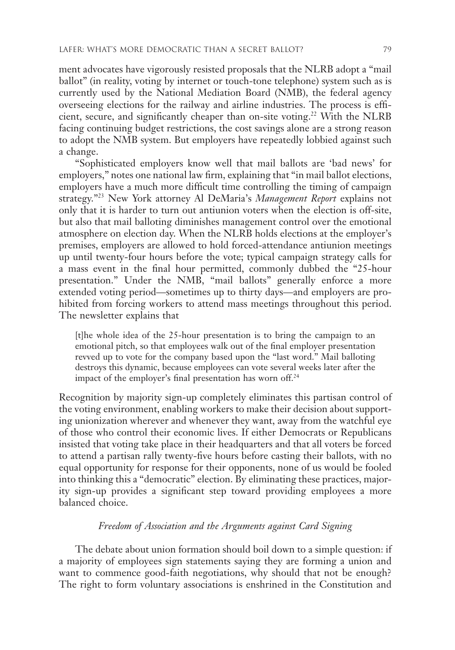ment advocates have vigorously resisted proposals that the NLRB adopt a "mail ballot" (in reality, voting by internet or touch-tone telephone) system such as is currently used by the National Mediation Board (NMB), the federal agency overseeing elections for the railway and airline industries. The process is efficient, secure, and significantly cheaper than on-site voting.<sup>22</sup> With the NLRB facing continuing budget restrictions, the cost savings alone are a strong reason to adopt the NMB system. But employers have repeatedly lobbied against such a change.

"Sophisticated employers know well that mail ballots are 'bad news' for employers," notes one national law firm, explaining that "in mail ballot elections, employers have a much more difficult time controlling the timing of campaign strategy."23 New York attorney Al DeMaria's *Management Report* explains not only that it is harder to turn out antiunion voters when the election is off-site, but also that mail balloting diminishes management control over the emotional atmosphere on election day. When the NLRB holds elections at the employer's premises, employers are allowed to hold forced-attendance antiunion meetings up until twenty-four hours before the vote; typical campaign strategy calls for a mass event in the final hour permitted, commonly dubbed the "25-hour presentation." Under the NMB, "mail ballots" generally enforce a more extended voting period—sometimes up to thirty days—and employers are prohibited from forcing workers to attend mass meetings throughout this period. The newsletter explains that

[t]he whole idea of the 25-hour presentation is to bring the campaign to an emotional pitch, so that employees walk out of the final employer presentation revved up to vote for the company based upon the "last word." Mail balloting destroys this dynamic, because employees can vote several weeks later after the impact of the employer's final presentation has worn off.<sup>24</sup>

Recognition by majority sign-up completely eliminates this partisan control of the voting environment, enabling workers to make their decision about supporting unionization wherever and whenever they want, away from the watchful eye of those who control their economic lives. If either Democrats or Republicans insisted that voting take place in their headquarters and that all voters be forced to attend a partisan rally twenty-five hours before casting their ballots, with no equal opportunity for response for their opponents, none of us would be fooled into thinking this a "democratic" election. By eliminating these practices, majority sign-up provides a significant step toward providing employees a more balanced choice.

### *Freedom of Association and the Arguments against Card Signing*

The debate about union formation should boil down to a simple question: if a majority of employees sign statements saying they are forming a union and want to commence good-faith negotiations, why should that not be enough? The right to form voluntary associations is enshrined in the Constitution and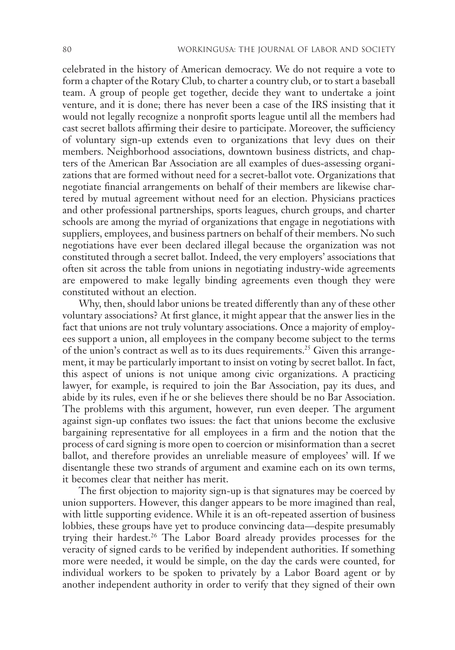celebrated in the history of American democracy. We do not require a vote to form a chapter of the Rotary Club, to charter a country club, or to start a baseball team. A group of people get together, decide they want to undertake a joint venture, and it is done; there has never been a case of the IRS insisting that it would not legally recognize a nonprofit sports league until all the members had cast secret ballots affirming their desire to participate. Moreover, the sufficiency of voluntary sign-up extends even to organizations that levy dues on their members. Neighborhood associations, downtown business districts, and chapters of the American Bar Association are all examples of dues-assessing organizations that are formed without need for a secret-ballot vote. Organizations that negotiate financial arrangements on behalf of their members are likewise chartered by mutual agreement without need for an election. Physicians practices and other professional partnerships, sports leagues, church groups, and charter schools are among the myriad of organizations that engage in negotiations with suppliers, employees, and business partners on behalf of their members. No such negotiations have ever been declared illegal because the organization was not constituted through a secret ballot. Indeed, the very employers' associations that often sit across the table from unions in negotiating industry-wide agreements are empowered to make legally binding agreements even though they were constituted without an election.

Why, then, should labor unions be treated differently than any of these other voluntary associations? At first glance, it might appear that the answer lies in the fact that unions are not truly voluntary associations. Once a majority of employees support a union, all employees in the company become subject to the terms of the union's contract as well as to its dues requirements.<sup>25</sup> Given this arrangement, it may be particularly important to insist on voting by secret ballot. In fact, this aspect of unions is not unique among civic organizations. A practicing lawyer, for example, is required to join the Bar Association, pay its dues, and abide by its rules, even if he or she believes there should be no Bar Association. The problems with this argument, however, run even deeper. The argument against sign-up conflates two issues: the fact that unions become the exclusive bargaining representative for all employees in a firm and the notion that the process of card signing is more open to coercion or misinformation than a secret ballot, and therefore provides an unreliable measure of employees' will. If we disentangle these two strands of argument and examine each on its own terms, it becomes clear that neither has merit.

The first objection to majority sign-up is that signatures may be coerced by union supporters. However, this danger appears to be more imagined than real, with little supporting evidence. While it is an oft-repeated assertion of business lobbies, these groups have yet to produce convincing data—despite presumably trying their hardest.<sup>26</sup> The Labor Board already provides processes for the veracity of signed cards to be verified by independent authorities. If something more were needed, it would be simple, on the day the cards were counted, for individual workers to be spoken to privately by a Labor Board agent or by another independent authority in order to verify that they signed of their own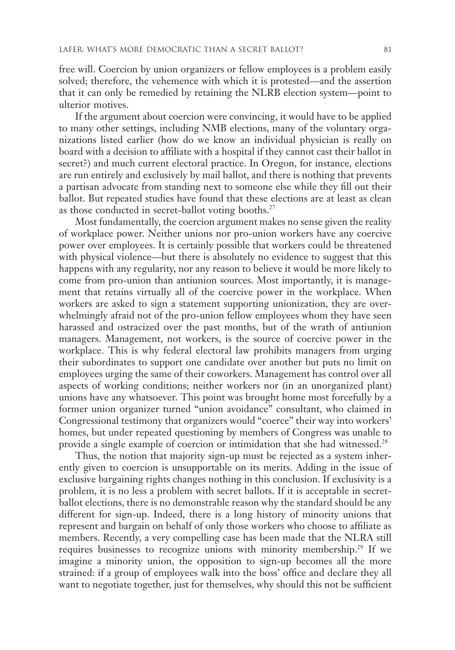free will. Coercion by union organizers or fellow employees is a problem easily solved; therefore, the vehemence with which it is protested—and the assertion that it can only be remedied by retaining the NLRB election system—point to ulterior motives.

If the argument about coercion were convincing, it would have to be applied to many other settings, including NMB elections, many of the voluntary organizations listed earlier (how do we know an individual physician is really on board with a decision to affiliate with a hospital if they cannot cast their ballot in secret?) and much current electoral practice. In Oregon, for instance, elections are run entirely and exclusively by mail ballot, and there is nothing that prevents a partisan advocate from standing next to someone else while they fill out their ballot. But repeated studies have found that these elections are at least as clean as those conducted in secret-ballot voting booths.<sup>27</sup>

Most fundamentally, the coercion argument makes no sense given the reality of workplace power. Neither unions nor pro-union workers have any coercive power over employees. It is certainly possible that workers could be threatened with physical violence—but there is absolutely no evidence to suggest that this happens with any regularity, nor any reason to believe it would be more likely to come from pro-union than antiunion sources. Most importantly, it is management that retains virtually all of the coercive power in the workplace. When workers are asked to sign a statement supporting unionization, they are overwhelmingly afraid not of the pro-union fellow employees whom they have seen harassed and ostracized over the past months, but of the wrath of antiunion managers. Management, not workers, is the source of coercive power in the workplace. This is why federal electoral law prohibits managers from urging their subordinates to support one candidate over another but puts no limit on employees urging the same of their coworkers. Management has control over all aspects of working conditions; neither workers nor (in an unorganized plant) unions have any whatsoever. This point was brought home most forcefully by a former union organizer turned "union avoidance" consultant, who claimed in Congressional testimony that organizers would "coerce" their way into workers' homes, but under repeated questioning by members of Congress was unable to provide a single example of coercion or intimidation that she had witnessed.28

Thus, the notion that majority sign-up must be rejected as a system inherently given to coercion is unsupportable on its merits. Adding in the issue of exclusive bargaining rights changes nothing in this conclusion. If exclusivity is a problem, it is no less a problem with secret ballots. If it is acceptable in secretballot elections, there is no demonstrable reason why the standard should be any different for sign-up. Indeed, there is a long history of minority unions that represent and bargain on behalf of only those workers who choose to affiliate as members. Recently, a very compelling case has been made that the NLRA still requires businesses to recognize unions with minority membership.<sup>29</sup> If we imagine a minority union, the opposition to sign-up becomes all the more strained: if a group of employees walk into the boss' office and declare they all want to negotiate together, just for themselves, why should this not be sufficient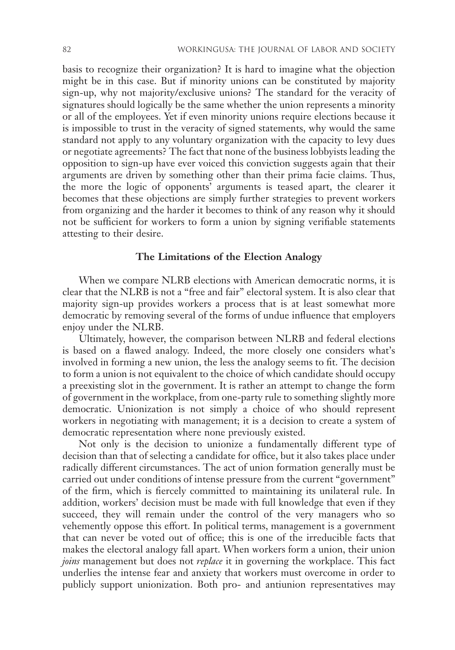basis to recognize their organization? It is hard to imagine what the objection might be in this case. But if minority unions can be constituted by majority sign-up, why not majority/exclusive unions? The standard for the veracity of signatures should logically be the same whether the union represents a minority or all of the employees. Yet if even minority unions require elections because it is impossible to trust in the veracity of signed statements, why would the same standard not apply to any voluntary organization with the capacity to levy dues or negotiate agreements? The fact that none of the business lobbyists leading the opposition to sign-up have ever voiced this conviction suggests again that their arguments are driven by something other than their prima facie claims. Thus, the more the logic of opponents' arguments is teased apart, the clearer it becomes that these objections are simply further strategies to prevent workers from organizing and the harder it becomes to think of any reason why it should not be sufficient for workers to form a union by signing verifiable statements attesting to their desire.

## **The Limitations of the Election Analogy**

When we compare NLRB elections with American democratic norms, it is clear that the NLRB is not a "free and fair" electoral system. It is also clear that majority sign-up provides workers a process that is at least somewhat more democratic by removing several of the forms of undue influence that employers enjoy under the NLRB.

Ultimately, however, the comparison between NLRB and federal elections is based on a flawed analogy. Indeed, the more closely one considers what's involved in forming a new union, the less the analogy seems to fit. The decision to form a union is not equivalent to the choice of which candidate should occupy a preexisting slot in the government. It is rather an attempt to change the form of government in the workplace, from one-party rule to something slightly more democratic. Unionization is not simply a choice of who should represent workers in negotiating with management; it is a decision to create a system of democratic representation where none previously existed.

Not only is the decision to unionize a fundamentally different type of decision than that of selecting a candidate for office, but it also takes place under radically different circumstances. The act of union formation generally must be carried out under conditions of intense pressure from the current "government" of the firm, which is fiercely committed to maintaining its unilateral rule. In addition, workers' decision must be made with full knowledge that even if they succeed, they will remain under the control of the very managers who so vehemently oppose this effort. In political terms, management is a government that can never be voted out of office; this is one of the irreducible facts that makes the electoral analogy fall apart. When workers form a union, their union *joins* management but does not *replace* it in governing the workplace. This fact underlies the intense fear and anxiety that workers must overcome in order to publicly support unionization. Both pro- and antiunion representatives may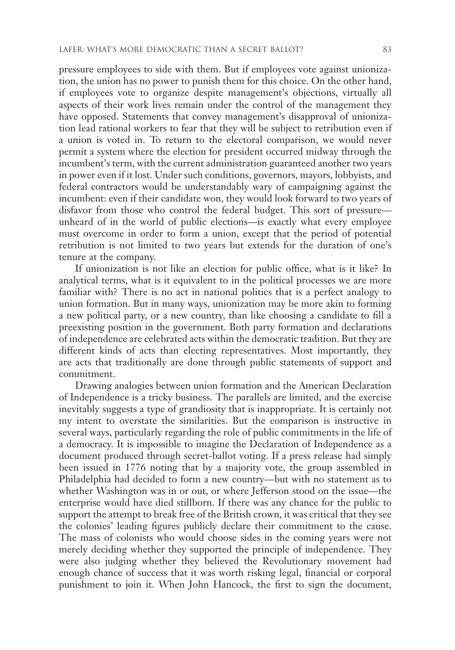pressure employees to side with them. But if employees vote against unionization, the union has no power to punish them for this choice. On the other hand, if employees vote to organize despite management's objections, virtually all aspects of their work lives remain under the control of the management they have opposed. Statements that convey management's disapproval of unionization lead rational workers to fear that they will be subject to retribution even if a union is voted in. To return to the electoral comparison, we would never permit a system where the election for president occurred midway through the incumbent's term, with the current administration guaranteed another two years in power even if it lost. Under such conditions, governors, mayors, lobbyists, and federal contractors would be understandably wary of campaigning against the incumbent: even if their candidate won, they would look forward to two years of disfavor from those who control the federal budget. This sort of pressure unheard of in the world of public elections—is exactly what every employee must overcome in order to form a union, except that the period of potential retribution is not limited to two years but extends for the duration of one's tenure at the company.

If unionization is not like an election for public office, what is it like? In analytical terms, what is it equivalent to in the political processes we are more familiar with? There is no act in national politics that is a perfect analogy to union formation. But in many ways, unionization may be more akin to forming a new political party, or a new country, than like choosing a candidate to fill a preexisting position in the government. Both party formation and declarations of independence are celebrated acts within the democratic tradition. But they are different kinds of acts than electing representatives. Most importantly, they are acts that traditionally are done through public statements of support and commitment.

Drawing analogies between union formation and the American Declaration of Independence is a tricky business. The parallels are limited, and the exercise inevitably suggests a type of grandiosity that is inappropriate. It is certainly not my intent to overstate the similarities. But the comparison is instructive in several ways, particularly regarding the role of public commitments in the life of a democracy. It is impossible to imagine the Declaration of Independence as a document produced through secret-ballot voting. If a press release had simply been issued in 1776 noting that by a majority vote, the group assembled in Philadelphia had decided to form a new country—but with no statement as to whether Washington was in or out, or where Jefferson stood on the issue—the enterprise would have died stillborn. If there was any chance for the public to support the attempt to break free of the British crown, it was critical that they see the colonies' leading figures publicly declare their commitment to the cause. The mass of colonists who would choose sides in the coming years were not merely deciding whether they supported the principle of independence. They were also judging whether they believed the Revolutionary movement had enough chance of success that it was worth risking legal, financial or corporal punishment to join it. When John Hancock, the first to sign the document,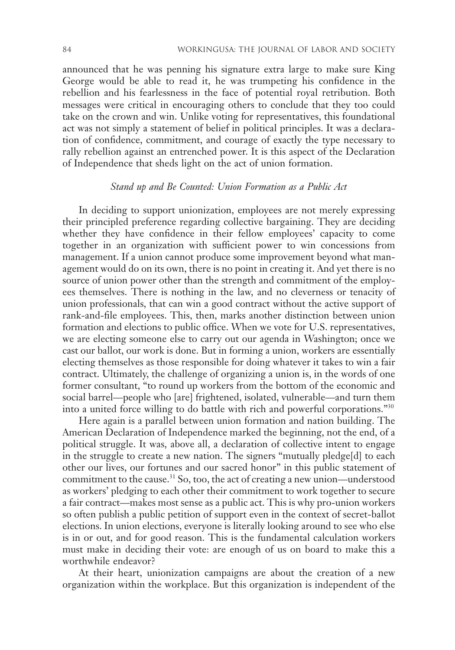announced that he was penning his signature extra large to make sure King George would be able to read it, he was trumpeting his confidence in the rebellion and his fearlessness in the face of potential royal retribution. Both messages were critical in encouraging others to conclude that they too could take on the crown and win. Unlike voting for representatives, this foundational act was not simply a statement of belief in political principles. It was a declaration of confidence, commitment, and courage of exactly the type necessary to rally rebellion against an entrenched power. It is this aspect of the Declaration of Independence that sheds light on the act of union formation.

#### *Stand up and Be Counted: Union Formation as a Public Act*

In deciding to support unionization, employees are not merely expressing their principled preference regarding collective bargaining. They are deciding whether they have confidence in their fellow employees' capacity to come together in an organization with sufficient power to win concessions from management. If a union cannot produce some improvement beyond what management would do on its own, there is no point in creating it. And yet there is no source of union power other than the strength and commitment of the employees themselves. There is nothing in the law, and no cleverness or tenacity of union professionals, that can win a good contract without the active support of rank-and-file employees. This, then, marks another distinction between union formation and elections to public office. When we vote for U.S. representatives, we are electing someone else to carry out our agenda in Washington; once we cast our ballot, our work is done. But in forming a union, workers are essentially electing themselves as those responsible for doing whatever it takes to win a fair contract. Ultimately, the challenge of organizing a union is, in the words of one former consultant, "to round up workers from the bottom of the economic and social barrel—people who [are] frightened, isolated, vulnerable—and turn them into a united force willing to do battle with rich and powerful corporations."30

Here again is a parallel between union formation and nation building. The American Declaration of Independence marked the beginning, not the end, of a political struggle. It was, above all, a declaration of collective intent to engage in the struggle to create a new nation. The signers "mutually pledge[d] to each other our lives, our fortunes and our sacred honor" in this public statement of commitment to the cause.<sup>31</sup> So, too, the act of creating a new union—understood as workers' pledging to each other their commitment to work together to secure a fair contract—makes most sense as a public act. This is why pro-union workers so often publish a public petition of support even in the context of secret-ballot elections. In union elections, everyone is literally looking around to see who else is in or out, and for good reason. This is the fundamental calculation workers must make in deciding their vote: are enough of us on board to make this a worthwhile endeavor?

At their heart, unionization campaigns are about the creation of a new organization within the workplace. But this organization is independent of the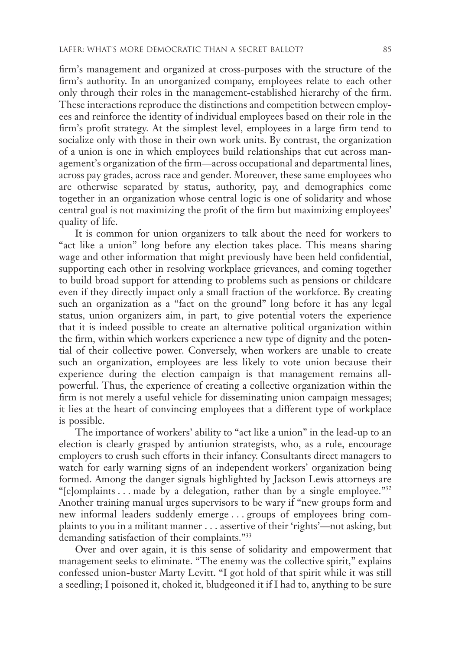firm's management and organized at cross-purposes with the structure of the firm's authority. In an unorganized company, employees relate to each other only through their roles in the management-established hierarchy of the firm. These interactions reproduce the distinctions and competition between employees and reinforce the identity of individual employees based on their role in the firm's profit strategy. At the simplest level, employees in a large firm tend to socialize only with those in their own work units. By contrast, the organization of a union is one in which employees build relationships that cut across management's organization of the firm—across occupational and departmental lines, across pay grades, across race and gender. Moreover, these same employees who are otherwise separated by status, authority, pay, and demographics come together in an organization whose central logic is one of solidarity and whose central goal is not maximizing the profit of the firm but maximizing employees' quality of life.

It is common for union organizers to talk about the need for workers to "act like a union" long before any election takes place. This means sharing wage and other information that might previously have been held confidential, supporting each other in resolving workplace grievances, and coming together to build broad support for attending to problems such as pensions or childcare even if they directly impact only a small fraction of the workforce. By creating such an organization as a "fact on the ground" long before it has any legal status, union organizers aim, in part, to give potential voters the experience that it is indeed possible to create an alternative political organization within the firm, within which workers experience a new type of dignity and the potential of their collective power. Conversely, when workers are unable to create such an organization, employees are less likely to vote union because their experience during the election campaign is that management remains allpowerful. Thus, the experience of creating a collective organization within the firm is not merely a useful vehicle for disseminating union campaign messages; it lies at the heart of convincing employees that a different type of workplace is possible.

The importance of workers' ability to "act like a union" in the lead-up to an election is clearly grasped by antiunion strategists, who, as a rule, encourage employers to crush such efforts in their infancy. Consultants direct managers to watch for early warning signs of an independent workers' organization being formed. Among the danger signals highlighted by Jackson Lewis attorneys are "[c]omplaints... made by a delegation, rather than by a single employee."<sup>32</sup> Another training manual urges supervisors to be wary if "new groups form and new informal leaders suddenly emerge... groups of employees bring complaints to you in a militant manner... assertive of their 'rights'—not asking, but demanding satisfaction of their complaints."<sup>33</sup>

Over and over again, it is this sense of solidarity and empowerment that management seeks to eliminate. "The enemy was the collective spirit," explains confessed union-buster Marty Levitt. "I got hold of that spirit while it was still a seedling; I poisoned it, choked it, bludgeoned it if I had to, anything to be sure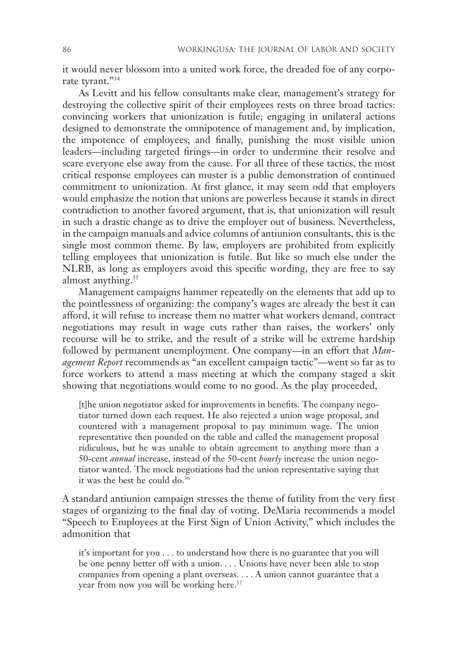it would never blossom into a united work force, the dreaded foe of any corporate tyrant."<sup>34</sup>

As Levitt and his fellow consultants make clear, management's strategy for destroying the collective spirit of their employees rests on three broad tactics: convincing workers that unionization is futile; engaging in unilateral actions designed to demonstrate the omnipotence of management and, by implication, the impotence of employees; and finally, punishing the most visible union leaders—including targeted firings—in order to undermine their resolve and scare everyone else away from the cause. For all three of these tactics, the most critical response employees can muster is a public demonstration of continued commitment to unionization. At first glance, it may seem odd that employers would emphasize the notion that unions are powerless because it stands in direct contradiction to another favored argument, that is, that unionization will result in such a drastic change as to drive the employer out of business. Nevertheless, in the campaign manuals and advice columns of antiunion consultants, this is the single most common theme. By law, employers are prohibited from explicitly telling employees that unionization is futile. But like so much else under the NLRB, as long as employers avoid this specific wording, they are free to say almost anything.<sup>35</sup>

Management campaigns hammer repeatedly on the elements that add up to the pointlessness of organizing: the company's wages are already the best it can afford, it will refuse to increase them no matter what workers demand, contract negotiations may result in wage cuts rather than raises, the workers' only recourse will be to strike, and the result of a strike will be extreme hardship followed by permanent unemployment. One company—in an effort that *Management Report* recommends as "an excellent campaign tactic"—went so far as to force workers to attend a mass meeting at which the company staged a skit showing that negotiations would come to no good. As the play proceeded,

[t]he union negotiator asked for improvements in benefits. The company negotiator turned down each request. He also rejected a union wage proposal, and countered with a management proposal to pay minimum wage. The union representative then pounded on the table and called the management proposal ridiculous, but he was unable to obtain agreement to anything more than a 50-cent *annual* increase, instead of the 50-cent *hourly* increase the union negotiator wanted. The mock negotiations had the union representative saying that it was the best he could do.<sup>36</sup>

A standard antiunion campaign stresses the theme of futility from the very first stages of organizing to the final day of voting. DeMaria recommends a model "Speech to Employees at the First Sign of Union Activity," which includes the admonition that

it's important for you . . . to understand how there is no guarantee that you will be one penny better off with a union.... Unions have never been able to stop companies from opening a plant overseas....A union cannot guarantee that a year from now you will be working here.<sup>37</sup>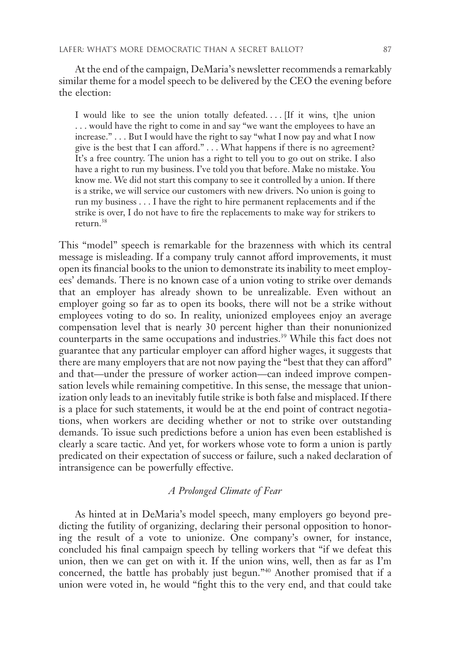At the end of the campaign, DeMaria's newsletter recommends a remarkably similar theme for a model speech to be delivered by the CEO the evening before the election:

I would like to see the union totally defeated.... [If it wins, t] he union . . . would have the right to come in and say "we want the employees to have an increase." . . . But I would have the right to say "what I now pay and what I now give is the best that I can afford." . . . What happens if there is no agreement? It's a free country. The union has a right to tell you to go out on strike. I also have a right to run my business. I've told you that before. Make no mistake. You know me. We did not start this company to see it controlled by a union. If there is a strike, we will service our customers with new drivers. No union is going to run my business...I have the right to hire permanent replacements and if the strike is over, I do not have to fire the replacements to make way for strikers to return.38

This "model" speech is remarkable for the brazenness with which its central message is misleading. If a company truly cannot afford improvements, it must open its financial books to the union to demonstrate its inability to meet employees' demands. There is no known case of a union voting to strike over demands that an employer has already shown to be unrealizable. Even without an employer going so far as to open its books, there will not be a strike without employees voting to do so. In reality, unionized employees enjoy an average compensation level that is nearly 30 percent higher than their nonunionized counterparts in the same occupations and industries.<sup>39</sup> While this fact does not guarantee that any particular employer can afford higher wages, it suggests that there are many employers that are not now paying the "best that they can afford" and that—under the pressure of worker action—can indeed improve compensation levels while remaining competitive. In this sense, the message that unionization only leads to an inevitably futile strike is both false and misplaced. If there is a place for such statements, it would be at the end point of contract negotiations, when workers are deciding whether or not to strike over outstanding demands. To issue such predictions before a union has even been established is clearly a scare tactic. And yet, for workers whose vote to form a union is partly predicated on their expectation of success or failure, such a naked declaration of intransigence can be powerfully effective.

## *A Prolonged Climate of Fear*

As hinted at in DeMaria's model speech, many employers go beyond predicting the futility of organizing, declaring their personal opposition to honoring the result of a vote to unionize. One company's owner, for instance, concluded his final campaign speech by telling workers that "if we defeat this union, then we can get on with it. If the union wins, well, then as far as I'm concerned, the battle has probably just begun."40 Another promised that if a union were voted in, he would "fight this to the very end, and that could take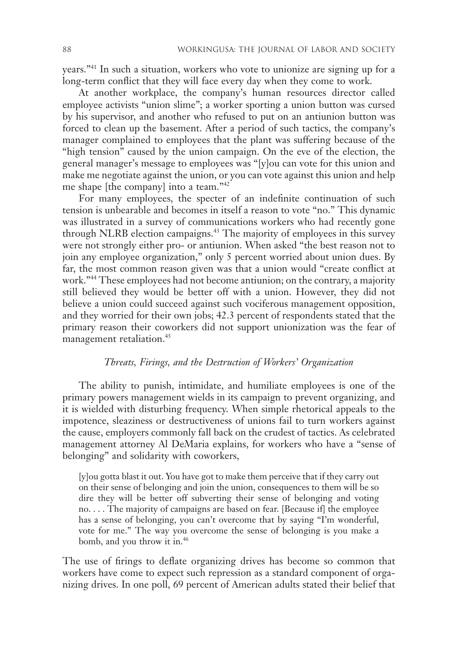years."41 In such a situation, workers who vote to unionize are signing up for a long-term conflict that they will face every day when they come to work.

At another workplace, the company's human resources director called employee activists "union slime"; a worker sporting a union button was cursed by his supervisor, and another who refused to put on an antiunion button was forced to clean up the basement. After a period of such tactics, the company's manager complained to employees that the plant was suffering because of the "high tension" caused by the union campaign. On the eve of the election, the general manager's message to employees was "[y]ou can vote for this union and make me negotiate against the union, or you can vote against this union and help me shape [the company] into a team."42

For many employees, the specter of an indefinite continuation of such tension is unbearable and becomes in itself a reason to vote "no." This dynamic was illustrated in a survey of communications workers who had recently gone through NLRB election campaigns.<sup>43</sup> The majority of employees in this survey were not strongly either pro- or antiunion. When asked "the best reason not to join any employee organization," only 5 percent worried about union dues. By far, the most common reason given was that a union would "create conflict at work."<sup>44</sup> These employees had not become antiunion; on the contrary, a majority still believed they would be better off with a union. However, they did not believe a union could succeed against such vociferous management opposition, and they worried for their own jobs; 42.3 percent of respondents stated that the primary reason their coworkers did not support unionization was the fear of management retaliation.<sup>45</sup>

## *Threats, Firings, and the Destruction of Workers' Organization*

The ability to punish, intimidate, and humiliate employees is one of the primary powers management wields in its campaign to prevent organizing, and it is wielded with disturbing frequency. When simple rhetorical appeals to the impotence, sleaziness or destructiveness of unions fail to turn workers against the cause, employers commonly fall back on the crudest of tactics. As celebrated management attorney Al DeMaria explains, for workers who have a "sense of belonging" and solidarity with coworkers,

[y]ou gotta blast it out. You have got to make them perceive that if they carry out on their sense of belonging and join the union, consequences to them will be so dire they will be better off subverting their sense of belonging and voting no. . . . The majority of campaigns are based on fear. [Because if] the employee has a sense of belonging, you can't overcome that by saying "I'm wonderful, vote for me." The way you overcome the sense of belonging is you make a bomb, and you throw it in.<sup>46</sup>

The use of firings to deflate organizing drives has become so common that workers have come to expect such repression as a standard component of organizing drives. In one poll, 69 percent of American adults stated their belief that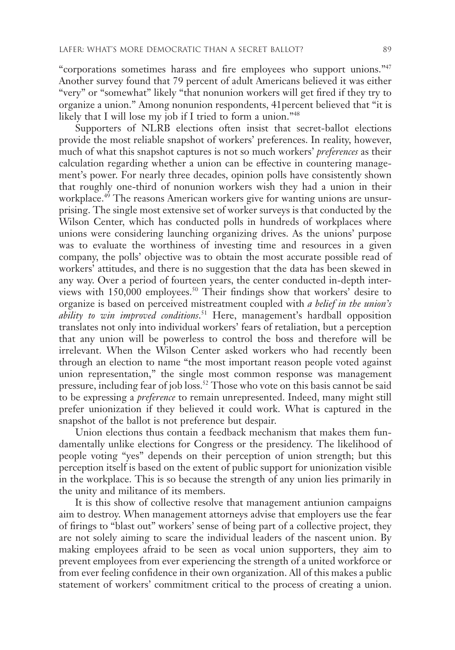"corporations sometimes harass and fire employees who support unions."47 Another survey found that 79 percent of adult Americans believed it was either "very" or "somewhat" likely "that nonunion workers will get fired if they try to organize a union." Among nonunion respondents, 41percent believed that "it is likely that I will lose my job if I tried to form a union."<sup>48</sup>

Supporters of NLRB elections often insist that secret-ballot elections provide the most reliable snapshot of workers' preferences. In reality, however, much of what this snapshot captures is not so much workers' *preferences* as their calculation regarding whether a union can be effective in countering management's power. For nearly three decades, opinion polls have consistently shown that roughly one-third of nonunion workers wish they had a union in their workplace.<sup>49</sup> The reasons American workers give for wanting unions are unsurprising. The single most extensive set of worker surveys is that conducted by the Wilson Center, which has conducted polls in hundreds of workplaces where unions were considering launching organizing drives. As the unions' purpose was to evaluate the worthiness of investing time and resources in a given company, the polls' objective was to obtain the most accurate possible read of workers' attitudes, and there is no suggestion that the data has been skewed in any way. Over a period of fourteen years, the center conducted in-depth interviews with 150,000 employees.<sup>50</sup> Their findings show that workers' desire to organize is based on perceived mistreatment coupled with *a belief in the union's ability to win improved conditions*. <sup>51</sup> Here, management's hardball opposition translates not only into individual workers' fears of retaliation, but a perception that any union will be powerless to control the boss and therefore will be irrelevant. When the Wilson Center asked workers who had recently been through an election to name "the most important reason people voted against union representation," the single most common response was management pressure, including fear of job loss.52 Those who vote on this basis cannot be said to be expressing a *preference* to remain unrepresented. Indeed, many might still prefer unionization if they believed it could work. What is captured in the snapshot of the ballot is not preference but despair.

Union elections thus contain a feedback mechanism that makes them fundamentally unlike elections for Congress or the presidency. The likelihood of people voting "yes" depends on their perception of union strength; but this perception itself is based on the extent of public support for unionization visible in the workplace. This is so because the strength of any union lies primarily in the unity and militance of its members.

It is this show of collective resolve that management antiunion campaigns aim to destroy. When management attorneys advise that employers use the fear of firings to "blast out" workers' sense of being part of a collective project, they are not solely aiming to scare the individual leaders of the nascent union. By making employees afraid to be seen as vocal union supporters, they aim to prevent employees from ever experiencing the strength of a united workforce or from ever feeling confidence in their own organization. All of this makes a public statement of workers' commitment critical to the process of creating a union.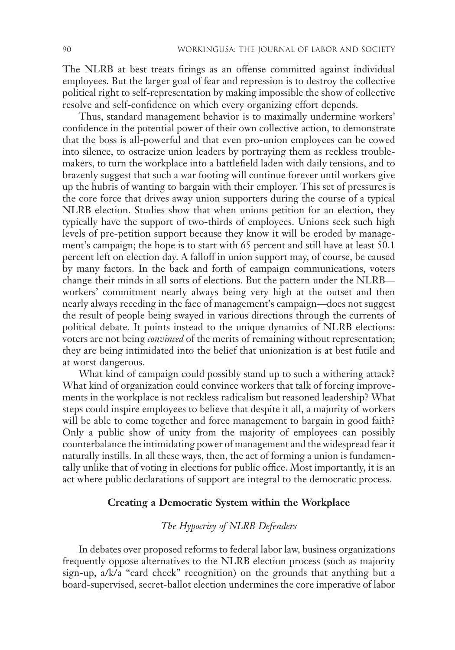The NLRB at best treats firings as an offense committed against individual employees. But the larger goal of fear and repression is to destroy the collective political right to self-representation by making impossible the show of collective resolve and self-confidence on which every organizing effort depends.

Thus, standard management behavior is to maximally undermine workers' confidence in the potential power of their own collective action, to demonstrate that the boss is all-powerful and that even pro-union employees can be cowed into silence, to ostracize union leaders by portraying them as reckless troublemakers, to turn the workplace into a battlefield laden with daily tensions, and to brazenly suggest that such a war footing will continue forever until workers give up the hubris of wanting to bargain with their employer. This set of pressures is the core force that drives away union supporters during the course of a typical NLRB election. Studies show that when unions petition for an election, they typically have the support of two-thirds of employees. Unions seek such high levels of pre-petition support because they know it will be eroded by management's campaign; the hope is to start with 65 percent and still have at least 50.1 percent left on election day. A falloff in union support may, of course, be caused by many factors. In the back and forth of campaign communications, voters change their minds in all sorts of elections. But the pattern under the NLRB workers' commitment nearly always being very high at the outset and then nearly always receding in the face of management's campaign—does not suggest the result of people being swayed in various directions through the currents of political debate. It points instead to the unique dynamics of NLRB elections: voters are not being *convinced* of the merits of remaining without representation; they are being intimidated into the belief that unionization is at best futile and at worst dangerous.

What kind of campaign could possibly stand up to such a withering attack? What kind of organization could convince workers that talk of forcing improvements in the workplace is not reckless radicalism but reasoned leadership? What steps could inspire employees to believe that despite it all, a majority of workers will be able to come together and force management to bargain in good faith? Only a public show of unity from the majority of employees can possibly counterbalance the intimidating power of management and the widespread fear it naturally instills. In all these ways, then, the act of forming a union is fundamentally unlike that of voting in elections for public office. Most importantly, it is an act where public declarations of support are integral to the democratic process.

## **Creating a Democratic System within the Workplace**

## *The Hypocrisy of NLRB Defenders*

In debates over proposed reforms to federal labor law, business organizations frequently oppose alternatives to the NLRB election process (such as majority sign-up, a/k/a "card check" recognition) on the grounds that anything but a board-supervised, secret-ballot election undermines the core imperative of labor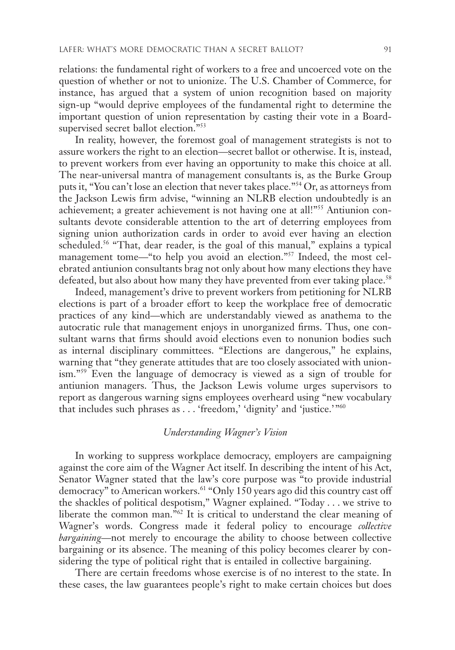relations: the fundamental right of workers to a free and uncoerced vote on the question of whether or not to unionize. The U.S. Chamber of Commerce, for instance, has argued that a system of union recognition based on majority sign-up "would deprive employees of the fundamental right to determine the important question of union representation by casting their vote in a Boardsupervised secret ballot election."<sup>53</sup>

In reality, however, the foremost goal of management strategists is not to assure workers the right to an election—secret ballot or otherwise. It is, instead, to prevent workers from ever having an opportunity to make this choice at all. The near-universal mantra of management consultants is, as the Burke Group puts it, "You can't lose an election that never takes place."54 Or, as attorneys from the Jackson Lewis firm advise, "winning an NLRB election undoubtedly is an achievement; a greater achievement is not having one at all!"<sup>55</sup> Antiunion consultants devote considerable attention to the art of deterring employees from signing union authorization cards in order to avoid ever having an election scheduled.56 "That, dear reader, is the goal of this manual," explains a typical management tome—"to help you avoid an election."57 Indeed, the most celebrated antiunion consultants brag not only about how many elections they have defeated, but also about how many they have prevented from ever taking place.<sup>58</sup>

Indeed, management's drive to prevent workers from petitioning for NLRB elections is part of a broader effort to keep the workplace free of democratic practices of any kind—which are understandably viewed as anathema to the autocratic rule that management enjoys in unorganized firms. Thus, one consultant warns that firms should avoid elections even to nonunion bodies such as internal disciplinary committees. "Elections are dangerous," he explains, warning that "they generate attitudes that are too closely associated with unionism."59 Even the language of democracy is viewed as a sign of trouble for antiunion managers. Thus, the Jackson Lewis volume urges supervisors to report as dangerous warning signs employees overheard using "new vocabulary that includes such phrases as... 'freedom,' 'dignity' and 'justice.'"60

## *Understanding Wagner's Vision*

In working to suppress workplace democracy, employers are campaigning against the core aim of the Wagner Act itself. In describing the intent of his Act, Senator Wagner stated that the law's core purpose was "to provide industrial democracy" to American workers.<sup>61</sup> "Only 150 years ago did this country cast off the shackles of political despotism," Wagner explained. "Today . . . we strive to liberate the common man.<sup>"62</sup> It is critical to understand the clear meaning of Wagner's words. Congress made it federal policy to encourage *collective bargaining*—not merely to encourage the ability to choose between collective bargaining or its absence. The meaning of this policy becomes clearer by considering the type of political right that is entailed in collective bargaining.

There are certain freedoms whose exercise is of no interest to the state. In these cases, the law guarantees people's right to make certain choices but does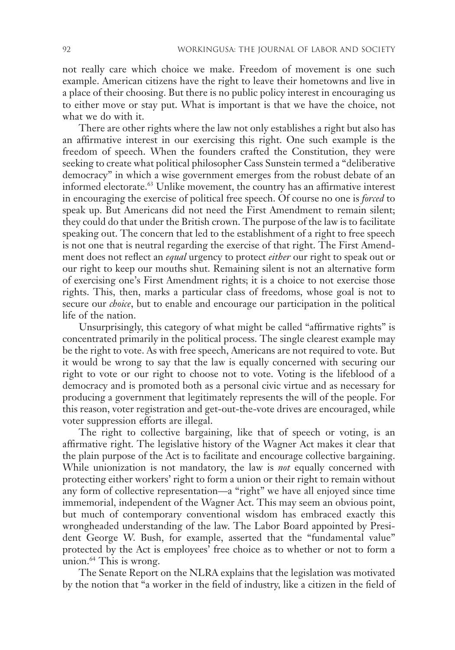not really care which choice we make. Freedom of movement is one such example. American citizens have the right to leave their hometowns and live in a place of their choosing. But there is no public policy interest in encouraging us to either move or stay put. What is important is that we have the choice, not what we do with it.

There are other rights where the law not only establishes a right but also has an affirmative interest in our exercising this right. One such example is the freedom of speech. When the founders crafted the Constitution, they were seeking to create what political philosopher Cass Sunstein termed a "deliberative democracy" in which a wise government emerges from the robust debate of an informed electorate.<sup>63</sup> Unlike movement, the country has an affirmative interest in encouraging the exercise of political free speech. Of course no one is *forced* to speak up. But Americans did not need the First Amendment to remain silent; they could do that under the British crown. The purpose of the law is to facilitate speaking out. The concern that led to the establishment of a right to free speech is not one that is neutral regarding the exercise of that right. The First Amendment does not reflect an *equal* urgency to protect *either* our right to speak out or our right to keep our mouths shut. Remaining silent is not an alternative form of exercising one's First Amendment rights; it is a choice to not exercise those rights. This, then, marks a particular class of freedoms, whose goal is not to secure our *choice*, but to enable and encourage our participation in the political life of the nation.

Unsurprisingly, this category of what might be called "affirmative rights" is concentrated primarily in the political process. The single clearest example may be the right to vote. As with free speech, Americans are not required to vote. But it would be wrong to say that the law is equally concerned with securing our right to vote or our right to choose not to vote. Voting is the lifeblood of a democracy and is promoted both as a personal civic virtue and as necessary for producing a government that legitimately represents the will of the people. For this reason, voter registration and get-out-the-vote drives are encouraged, while voter suppression efforts are illegal.

The right to collective bargaining, like that of speech or voting, is an affirmative right. The legislative history of the Wagner Act makes it clear that the plain purpose of the Act is to facilitate and encourage collective bargaining. While unionization is not mandatory, the law is *not* equally concerned with protecting either workers' right to form a union or their right to remain without any form of collective representation—a "right" we have all enjoyed since time immemorial, independent of the Wagner Act. This may seem an obvious point, but much of contemporary conventional wisdom has embraced exactly this wrongheaded understanding of the law. The Labor Board appointed by President George W. Bush, for example, asserted that the "fundamental value" protected by the Act is employees' free choice as to whether or not to form a union. $^{64}$  This is wrong.

The Senate Report on the NLRA explains that the legislation was motivated by the notion that "a worker in the field of industry, like a citizen in the field of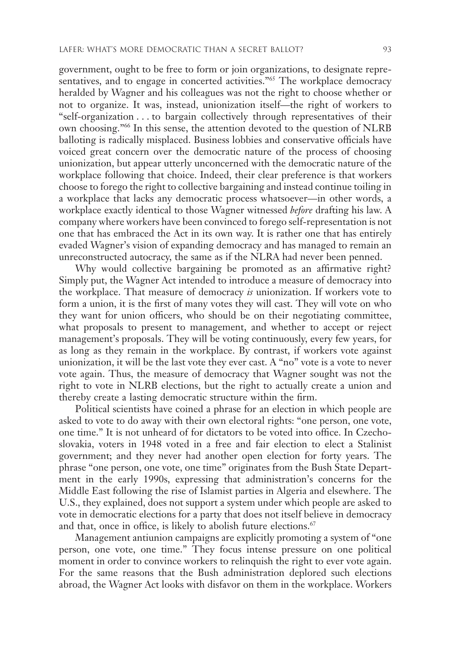government, ought to be free to form or join organizations, to designate representatives, and to engage in concerted activities."<sup>65</sup> The workplace democracy heralded by Wagner and his colleagues was not the right to choose whether or not to organize. It was, instead, unionization itself—the right of workers to "self-organization . . . to bargain collectively through representatives of their own choosing."66 In this sense, the attention devoted to the question of NLRB balloting is radically misplaced. Business lobbies and conservative officials have voiced great concern over the democratic nature of the process of choosing unionization, but appear utterly unconcerned with the democratic nature of the workplace following that choice. Indeed, their clear preference is that workers choose to forego the right to collective bargaining and instead continue toiling in a workplace that lacks any democratic process whatsoever—in other words, a workplace exactly identical to those Wagner witnessed *before* drafting his law. A company where workers have been convinced to forego self-representation is not one that has embraced the Act in its own way. It is rather one that has entirely evaded Wagner's vision of expanding democracy and has managed to remain an unreconstructed autocracy, the same as if the NLRA had never been penned.

Why would collective bargaining be promoted as an affirmative right? Simply put, the Wagner Act intended to introduce a measure of democracy into the workplace. That measure of democracy *is* unionization. If workers vote to form a union, it is the first of many votes they will cast. They will vote on who they want for union officers, who should be on their negotiating committee, what proposals to present to management, and whether to accept or reject management's proposals. They will be voting continuously, every few years, for as long as they remain in the workplace. By contrast, if workers vote against unionization, it will be the last vote they ever cast. A "no" vote is a vote to never vote again. Thus, the measure of democracy that Wagner sought was not the right to vote in NLRB elections, but the right to actually create a union and thereby create a lasting democratic structure within the firm.

Political scientists have coined a phrase for an election in which people are asked to vote to do away with their own electoral rights: "one person, one vote, one time." It is not unheard of for dictators to be voted into office. In Czechoslovakia, voters in 1948 voted in a free and fair election to elect a Stalinist government; and they never had another open election for forty years. The phrase "one person, one vote, one time" originates from the Bush State Department in the early 1990s, expressing that administration's concerns for the Middle East following the rise of Islamist parties in Algeria and elsewhere. The U.S., they explained, does not support a system under which people are asked to vote in democratic elections for a party that does not itself believe in democracy and that, once in office, is likely to abolish future elections. $67$ 

Management antiunion campaigns are explicitly promoting a system of "one person, one vote, one time." They focus intense pressure on one political moment in order to convince workers to relinquish the right to ever vote again. For the same reasons that the Bush administration deplored such elections abroad, the Wagner Act looks with disfavor on them in the workplace. Workers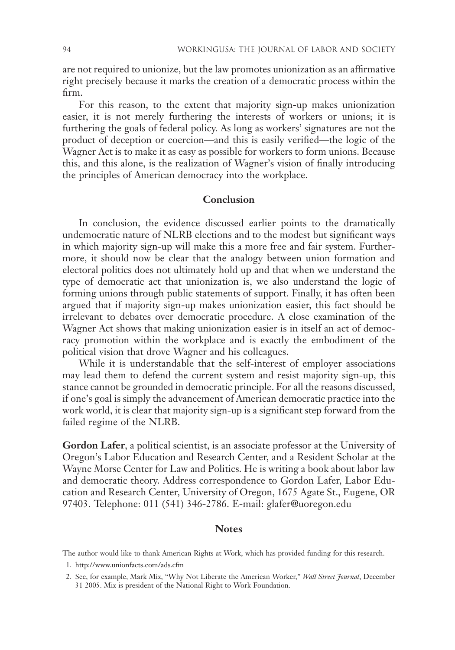are not required to unionize, but the law promotes unionization as an affirmative right precisely because it marks the creation of a democratic process within the firm.

For this reason, to the extent that majority sign-up makes unionization easier, it is not merely furthering the interests of workers or unions; it is furthering the goals of federal policy. As long as workers' signatures are not the product of deception or coercion—and this is easily verified—the logic of the Wagner Act is to make it as easy as possible for workers to form unions. Because this, and this alone, is the realization of Wagner's vision of finally introducing the principles of American democracy into the workplace.

## **Conclusion**

In conclusion, the evidence discussed earlier points to the dramatically undemocratic nature of NLRB elections and to the modest but significant ways in which majority sign-up will make this a more free and fair system. Furthermore, it should now be clear that the analogy between union formation and electoral politics does not ultimately hold up and that when we understand the type of democratic act that unionization is, we also understand the logic of forming unions through public statements of support. Finally, it has often been argued that if majority sign-up makes unionization easier, this fact should be irrelevant to debates over democratic procedure. A close examination of the Wagner Act shows that making unionization easier is in itself an act of democracy promotion within the workplace and is exactly the embodiment of the political vision that drove Wagner and his colleagues.

While it is understandable that the self-interest of employer associations may lead them to defend the current system and resist majority sign-up, this stance cannot be grounded in democratic principle. For all the reasons discussed, if one's goal is simply the advancement of American democratic practice into the work world, it is clear that majority sign-up is a significant step forward from the failed regime of the NLRB.

**Gordon Lafer**, a political scientist, is an associate professor at the University of Oregon's Labor Education and Research Center, and a Resident Scholar at the Wayne Morse Center for Law and Politics. He is writing a book about labor law and democratic theory. Address correspondence to Gordon Lafer, Labor Education and Research Center, University of Oregon, 1675 Agate St., Eugene, OR 97403. Telephone: 011 (541) 346-2786. E-mail: [glafer@uoregon.edu](mailto:glafer@uoregon.edu)

#### **Notes**

The author would like to thank American Rights at Work, which has provided funding for this research.

1.<http://www.unionfacts.com/ads.cfm>

<sup>2.</sup> See, for example, Mark Mix, "Why Not Liberate the American Worker," *Wall Street Journal*, December 31 2005. Mix is president of the National Right to Work Foundation.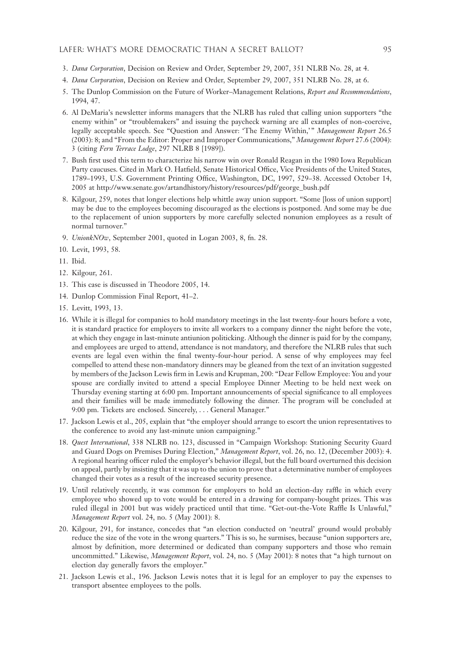#### LAFER: WHAT'S MORE DEMOCRATIC THAN A SECRET BALLOT? 95

- 3. *Dana Corporation*, Decision on Review and Order, September 29, 2007, 351 NLRB No. 28, at 4.
- 4. *Dana Corporation*, Decision on Review and Order, September 29, 2007, 351 NLRB No. 28, at 6.
- 5. The Dunlop Commission on the Future of Worker–Management Relations, *Report and Recommendations*, 1994, 47.
- 6. Al DeMaria's newsletter informs managers that the NLRB has ruled that calling union supporters "the enemy within" or "troublemakers" and issuing the paycheck warning are all examples of non-coercive, legally acceptable speech. See "Question and Answer: 'The Enemy Within,' " *Management Report* 26.5 (2003): 8; and "From the Editor: Proper and Improper Communications," *Management Report* 27.6 (2004): 3 (citing *Fern Terrace Lodge*, 297 NLRB 8 [1989]).
- 7. Bush first used this term to characterize his narrow win over Ronald Reagan in the 1980 Iowa Republican Party caucuses. Cited in Mark O. Hatfield, Senate Historical Office, Vice Presidents of the United States, 1789–1993, U.S. Government Printing Office, Washington, DC, 1997, 529–38. Accessed October 14, 2005 at [http://www.senate.gov/artandhistory/history/resources/pdf/george\\_bush.pdf](http://www.senate.gov/artandhistory/history/resources/pdf/george_bush.pdf)
- 8. Kilgour, 259, notes that longer elections help whittle away union support. "Some [loss of union support] may be due to the employees becoming discouraged as the elections is postponed. And some may be due to the replacement of union supporters by more carefully selected nonunion employees as a result of normal turnover."
- 9. *UnionkNOw*, September 2001, quoted in Logan 2003, 8, fn. 28.
- 10. Levit, 1993, 58.
- 11. Ibid.
- 12. Kilgour, 261.
- 13. This case is discussed in Theodore 2005, 14.
- 14. Dunlop Commission Final Report, 41–2.
- 15. Levitt, 1993, 13.
- 16. While it is illegal for companies to hold mandatory meetings in the last twenty-four hours before a vote, it is standard practice for employers to invite all workers to a company dinner the night before the vote, at which they engage in last-minute antiunion politicking. Although the dinner is paid for by the company, and employees are urged to attend, attendance is not mandatory, and therefore the NLRB rules that such events are legal even within the final twenty-four-hour period. A sense of why employees may feel compelled to attend these non-mandatory dinners may be gleaned from the text of an invitation suggested by members of the Jackson Lewis firm in Lewis and Krupman, 200: "Dear Fellow Employee: You and your spouse are cordially invited to attend a special Employee Dinner Meeting to be held next week on Thursday evening starting at 6:00 pm. Important announcements of special significance to all employees and their families will be made immediately following the dinner. The program will be concluded at 9:00 pm. Tickets are enclosed. Sincerely, . . . General Manager."
- 17. Jackson Lewis et al., 205, explain that "the employer should arrange to escort the union representatives to the conference to avoid any last-minute union campaigning."
- 18. *Quest International*, 338 NLRB no. 123, discussed in "Campaign Workshop: Stationing Security Guard and Guard Dogs on Premises During Election," *Management Report*, vol. 26, no. 12, (December 2003): 4. A regional hearing officer ruled the employer's behavior illegal, but the full board overturned this decision on appeal, partly by insisting that it was up to the union to prove that a determinative number of employees changed their votes as a result of the increased security presence.
- 19. Until relatively recently, it was common for employers to hold an election-day raffle in which every employee who showed up to vote would be entered in a drawing for company-bought prizes. This was ruled illegal in 2001 but was widely practiced until that time. "Get-out-the-Vote Raffle Is Unlawful," *Management Report* vol. 24, no. 5 (May 2001): 8.
- 20. Kilgour, 291, for instance, concedes that "an election conducted on 'neutral' ground would probably reduce the size of the vote in the wrong quarters." This is so, he surmises, because "union supporters are, almost by definition, more determined or dedicated than company supporters and those who remain uncommitted." Likewise, *Management Report*, vol. 24, no. 5 (May 2001): 8 notes that "a high turnout on election day generally favors the employer."
- 21. Jackson Lewis et al., 196. Jackson Lewis notes that it is legal for an employer to pay the expenses to transport absentee employees to the polls.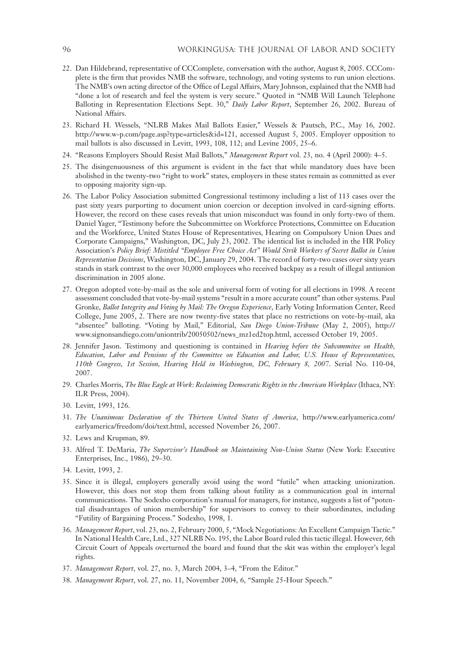- 22. Dan Hildebrand, representative of CCComplete, conversation with the author, August 8, 2005. CCComplete is the firm that provides NMB the software, technology, and voting systems to run union elections. The NMB's own acting director of the Office of Legal Affairs, Mary Johnson, explained that the NMB had "done a lot of research and feel the system is very secure." Quoted in "NMB Will Launch Telephone Balloting in Representation Elections Sept. 30," *Daily Labor Report*, September 26, 2002. Bureau of National Affairs.
- 23. Richard H. Wessels, "NLRB Makes Mail Ballots Easier," Wessels & Pautsch, P.C., May 16, 2002. [http://www.w-p.com/page.asp?type=articles&id=121,](http://www.w-p.com/page.asp?type=articles&id=121) accessed August 5, 2005. Employer opposition to mail ballots is also discussed in Levitt, 1993, 108, 112; and Levine 2005, 25–6.
- 24. "Reasons Employers Should Resist Mail Ballots," *Management Report* vol. 23, no. 4 (April 2000): 4–5.
- 25. The disingenuousness of this argument is evident in the fact that while mandatory dues have been abolished in the twenty-two "right to work" states, employers in these states remain as committed as ever to opposing majority sign-up.
- 26. The Labor Policy Association submitted Congressional testimony including a list of 113 cases over the past sixty years purporting to document union coercion or deception involved in card-signing efforts. However, the record on these cases reveals that union misconduct was found in only forty-two of them. Daniel Yager, "Testimony before the Subcommittee on Workforce Protections, Committee on Education and the Workforce, United States House of Representatives, Hearing on Compulsory Union Dues and Corporate Campaigns," Washington, DC, July 23, 2002. The identical list is included in the HR Policy Association's *Policy Brief: Mistitled "Employee Free Choice Act" Would Strik Workers of Secret Ballot in Union Representation Decisions*, Washington, DC, January 29, 2004. The record of forty-two cases over sixty years stands in stark contrast to the over 30,000 employees who received backpay as a result of illegal antiunion discrimination in 2005 alone.
- 27. Oregon adopted vote-by-mail as the sole and universal form of voting for all elections in 1998. A recent assessment concluded that vote-by-mail systems "result in a more accurate count" than other systems. Paul Gronke, *Ballot Integrity and Voting by Mail: The Oregon Experience*, Early Voting Information Center, Reed College, June 2005, 2. There are now twenty-five states that place no restrictions on vote-by-mail, aka "absentee" balloting. "Voting by Mail," Editorial, *San Diego Union-Tribune* (May 2, 2005), [http://](http://www.signonsandiego.com/uniontrib/20050502/news_mz1ed2top.html) [www.signonsandiego.com/uniontrib/20050502/news\\_mz1ed2top.html,](http://www.signonsandiego.com/uniontrib/20050502/news_mz1ed2top.html) accessed October 19, 2005.
- 28. Jennifer Jason. Testimony and questioning is contained in *Hearing before the Subcommitee on Health, Education, Labor and Pensions of the Committee on Education and Labor, U.S. House of Representatives, 110th Congress, 1st Session, Hearing Held in Washington, DC, February 8, 2007*. Serial No. 110-04, 2007.
- 29. Charles Morris, *The Blue Eagle at Work: Reclaiming Democratic Rights in the American Workplace* (Ithaca, NY: ILR Press, 2004).
- 30. Levitt, 1993, 126.
- 31. *The Unanimous Declaration of the Thirteen United States of America*, [http://www.earlyamerica.com/](http://www.earlyamerica.com) earlyamerica/freedom/doi/text.html, accessed November 26, 2007.
- 32. Lews and Krupman, 89.
- 33. Alfred T. DeMaria, *The Supervisor's Handbook on Maintaining Non-Union Status* (New York: Executive Enterprises, Inc., 1986), 29–30.
- 34. Levitt, 1993, 2.
- 35. Since it is illegal, employers generally avoid using the word "futile" when attacking unionization. However, this does not stop them from talking about futility as a communication goal in internal communications. The Sodexho corporation's manual for managers, for instance, suggests a list of "potential disadvantages of union membership" for supervisors to convey to their subordinates, including "Futility of Bargaining Process." Sodexho, 1998, 1.
- 36. *Management Report*, vol. 23, no. 2, February 2000, 5, "Mock Negotiations: An Excellent Campaign Tactic." In National Health Care, Ltd., 327 NLRB No. 195, the Labor Board ruled this tactic illegal. However, 6th Circuit Court of Appeals overturned the board and found that the skit was within the employer's legal rights.
- 37. *Management Report*, vol. 27, no. 3, March 2004, 3–4, "From the Editor."
- 38. *Management Report*, vol. 27, no. 11, November 2004, 6, "Sample 25-Hour Speech."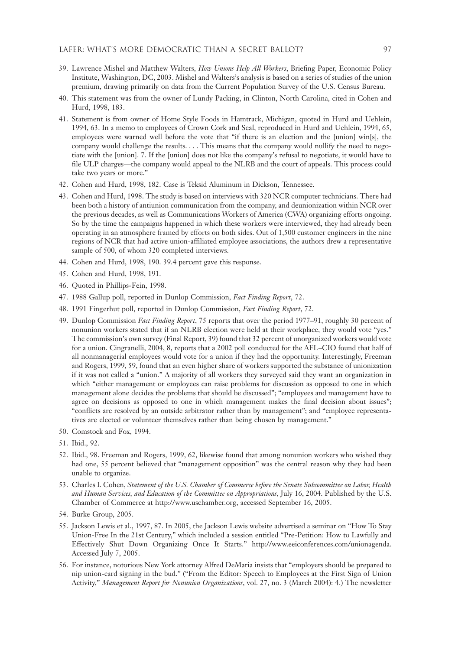- 39. Lawrence Mishel and Matthew Walters, *How Unions Help All Workers*, Briefing Paper, Economic Policy Institute, Washington, DC, 2003. Mishel and Walters's analysis is based on a series of studies of the union premium, drawing primarily on data from the Current Population Survey of the U.S. Census Bureau.
- 40. This statement was from the owner of Lundy Packing, in Clinton, North Carolina, cited in Cohen and Hurd, 1998, 183.
- 41. Statement is from owner of Home Style Foods in Hamtrack, Michigan, quoted in Hurd and Uehlein, 1994, 63. In a memo to employees of Crown Cork and Seal, reproduced in Hurd and Uehlein, 1994, 65, employees were warned well before the vote that "if there is an election and the [union] win[s], the company would challenge the results. . . . This means that the company would nullify the need to negotiate with the [union]. 7. If the [union] does not like the company's refusal to negotiate, it would have to file ULP charges—the company would appeal to the NLRB and the court of appeals. This process could take two years or more."
- 42. Cohen and Hurd, 1998, 182. Case is Teksid Aluminum in Dickson, Tennessee.
- 43. Cohen and Hurd, 1998. The study is based on interviews with 320 NCR computer technicians. There had been both a history of antiunion communication from the company, and deunionization within NCR over the previous decades, as well as Communications Workers of America (CWA) organizing efforts ongoing. So by the time the campaigns happened in which these workers were interviewed, they had already been operating in an atmosphere framed by efforts on both sides. Out of 1,500 customer engineers in the nine regions of NCR that had active union-affiliated employee associations, the authors drew a representative sample of 500, of whom 320 completed interviews.
- 44. Cohen and Hurd, 1998, 190. 39.4 percent gave this response.
- 45. Cohen and Hurd, 1998, 191.
- 46. Quoted in Phillips-Fein, 1998.
- 47. 1988 Gallup poll, reported in Dunlop Commission, *Fact Finding Report*, 72.
- 48. 1991 Fingerhut poll, reported in Dunlop Commission, *Fact Finding Report*, 72.
- 49. Dunlop Commission *Fact Finding Report*, 75 reports that over the period 1977–91, roughly 30 percent of nonunion workers stated that if an NLRB election were held at their workplace, they would vote "yes." The commission's own survey (Final Report, 39) found that 32 percent of unorganized workers would vote for a union. Cingranelli, 2004, 8, reports that a 2002 poll conducted for the AFL–CIO found that half of all nonmanagerial employees would vote for a union if they had the opportunity. Interestingly, Freeman and Rogers, 1999, 59, found that an even higher share of workers supported the substance of unionization if it was not called a "union." A majority of all workers they surveyed said they want an organization in which "either management or employees can raise problems for discussion as opposed to one in which management alone decides the problems that should be discussed"; "employees and management have to agree on decisions as opposed to one in which management makes the final decision about issues"; "conflicts are resolved by an outside arbitrator rather than by management"; and "employee representatives are elected or volunteer themselves rather than being chosen by management."
- 50. Comstock and Fox, 1994.
- 51. Ibid., 92.
- 52. Ibid., 98. Freeman and Rogers, 1999, 62, likewise found that among nonunion workers who wished they had one, 55 percent believed that "management opposition" was the central reason why they had been unable to organize.
- 53. Charles I. Cohen, *Statement of the U.S. Chamber of Commerce before the Senate Subcommittee on Labor, Health and Human Services, and Education of the Committee on Appropriations*, July 16, 2004. Published by the U.S. Chamber of Commerce at [http://www.uschamber.org,](http://www.uschamber.org) accessed September 16, 2005.
- 54. Burke Group, 2005.
- 55. Jackson Lewis et al., 1997, 87. In 2005, the Jackson Lewis website advertised a seminar on "How To Stay Union-Free In the 21st Century," which included a session entitled "Pre-Petition: How to Lawfully and Effectively Shut Down Organizing Once It Starts." [http://www.eeiconferences.com/unionagenda.](http://www.eeiconferences.com/unionagenda) Accessed July 7, 2005.
- 56. For instance, notorious New York attorney Alfred DeMaria insists that "employers should be prepared to nip union-card signing in the bud." ("From the Editor: Speech to Employees at the First Sign of Union Activity," *Management Report for Nonunion Organizations*, vol. 27, no. 3 (March 2004): 4.) The newsletter